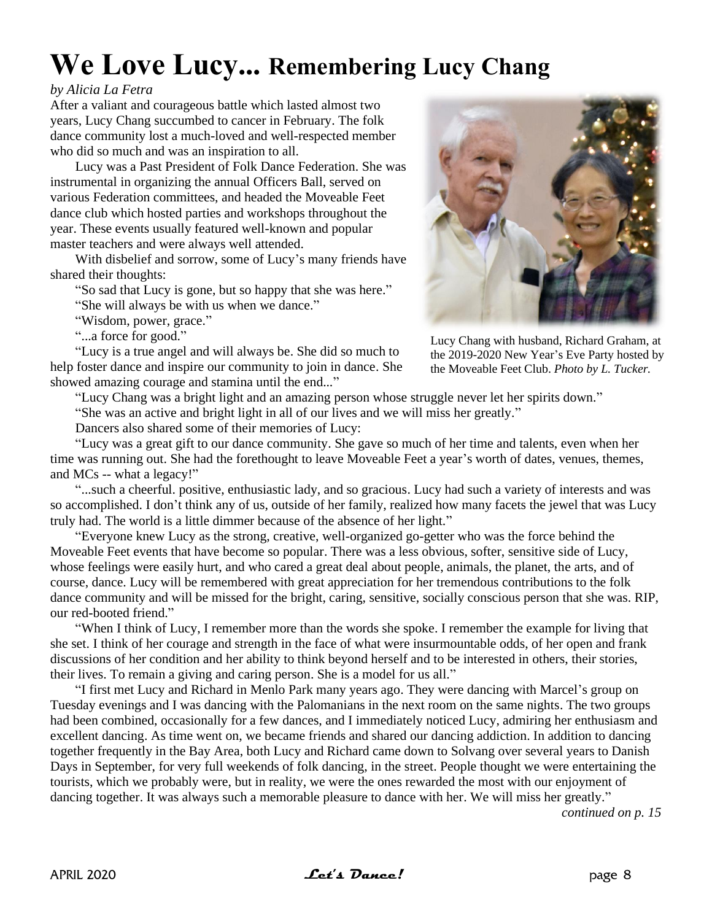## **We Love Lucy... Remembering Lucy Chang**

## *by Alicia La Fetra*

After a valiant and courageous battle which lasted almost two years, Lucy Chang succumbed to cancer in February. The folk dance community lost a much-loved and well-respected member who did so much and was an inspiration to all.

Lucy was a Past President of Folk Dance Federation. She was instrumental in organizing the annual Officers Ball, served on various Federation committees, and headed the Moveable Feet dance club which hosted parties and workshops throughout the year. These events usually featured well-known and popular master teachers and were always well attended.

With disbelief and sorrow, some of Lucy's many friends have shared their thoughts:

"So sad that Lucy is gone, but so happy that she was here."

"She will always be with us when we dance."

"Wisdom, power, grace."

"...a force for good."

"Lucy is a true angel and will always be. She did so much to help foster dance and inspire our community to join in dance. She showed amazing courage and stamina until the end..."



Lucy Chang with husband, Richard Graham, at the 2019-2020 New Year's Eve Party hosted by the Moveable Feet Club. *Photo by L. Tucker.*

"Lucy Chang was a bright light and an amazing person whose struggle never let her spirits down."

"She was an active and bright light in all of our lives and we will miss her greatly."

Dancers also shared some of their memories of Lucy:

"Lucy was a great gift to our dance community. She gave so much of her time and talents, even when her time was running out. She had the forethought to leave Moveable Feet a year's worth of dates, venues, themes, and MCs -- what a legacy!"

"...such a cheerful. positive, enthusiastic lady, and so gracious. Lucy had such a variety of interests and was so accomplished. I don't think any of us, outside of her family, realized how many facets the jewel that was Lucy truly had. The world is a little dimmer because of the absence of her light."

"Everyone knew Lucy as the strong, creative, well-organized go-getter who was the force behind the Moveable Feet events that have become so popular. There was a less obvious, softer, sensitive side of Lucy, whose feelings were easily hurt, and who cared a great deal about people, animals, the planet, the arts, and of course, dance. Lucy will be remembered with great appreciation for her tremendous contributions to the folk dance community and will be missed for the bright, caring, sensitive, socially conscious person that she was. RIP, our red-booted friend."

"When I think of Lucy, I remember more than the words she spoke. I remember the example for living that she set. I think of her courage and strength in the face of what were insurmountable odds, of her open and frank discussions of her condition and her ability to think beyond herself and to be interested in others, their stories, their lives. To remain a giving and caring person. She is a model for us all."

"I first met Lucy and Richard in Menlo Park many years ago. They were dancing with Marcel's group on Tuesday evenings and I was dancing with the Palomanians in the next room on the same nights. The two groups had been combined, occasionally for a few dances, and I immediately noticed Lucy, admiring her enthusiasm and excellent dancing. As time went on, we became friends and shared our dancing addiction. In addition to dancing together frequently in the Bay Area, both Lucy and Richard came down to Solvang over several years to Danish Days in September, for very full weekends of folk dancing, in the street. People thought we were entertaining the tourists, which we probably were, but in reality, we were the ones rewarded the most with our enjoyment of dancing together. It was always such a memorable pleasure to dance with her. We will miss her greatly."

*continued on p. 15*